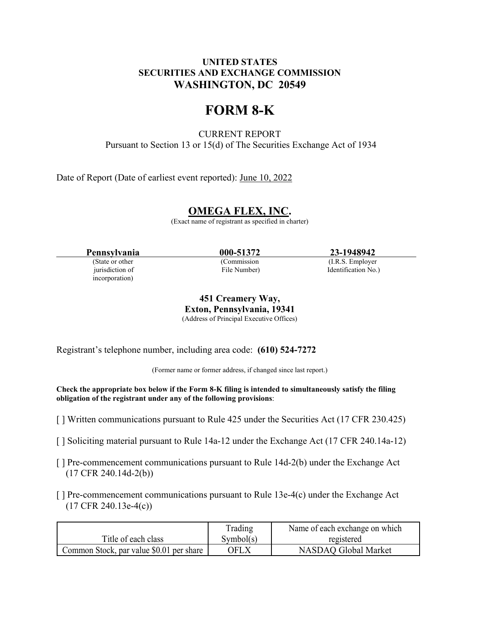# **UNITED STATES SECURITIES AND EXCHANGE COMMISSION WASHINGTON, DC 20549**

# **FORM 8-K**

CURRENT REPORT Pursuant to Section 13 or 15(d) of The Securities Exchange Act of 1934

Date of Report (Date of earliest event reported): June 10, 2022

# **OMEGA FLEX, INC.**

(Exact name of registrant as specified in charter)

**Pennsylvania 000-51372 23-1948942**<br> **23-1948942**<br> **Commission** (LR.S. Employer)

incorporation)

(Commission (I.R.S. Employer)

jurisdiction of File Number) Identification No.)

**451 Creamery Way, Exton, Pennsylvania, 19341** (Address of Principal Executive Offices)

Registrant's telephone number, including area code: **(610) 524-7272**

(Former name or former address, if changed since last report.)

**Check the appropriate box below if the Form 8-K filing is intended to simultaneously satisfy the filing obligation of the registrant under any of the following provisions**:

- [ ] Written communications pursuant to Rule 425 under the Securities Act (17 CFR 230.425)
- [ ] Soliciting material pursuant to Rule 14a-12 under the Exchange Act (17 CFR 240.14a-12)
- [ ] Pre-commencement communications pursuant to Rule 14d-2(b) under the Exchange Act (17 CFR 240.14d-2(b))
- $\lceil \cdot \rceil$  Pre-commencement communications pursuant to Rule 13e-4(c) under the Exchange Act (17 CFR 240.13e-4(c))

|                                          | Trading   | Name of each exchange on which |
|------------------------------------------|-----------|--------------------------------|
| Title of each class                      | Symbol(s) | registered                     |
| Common Stock, par value \$0.01 per share | OFLX.     | NASDAO Global Market           |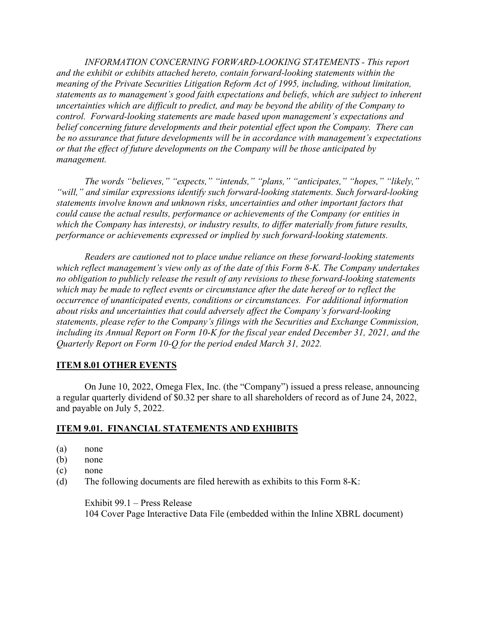*INFORMATION CONCERNING FORWARD-LOOKING STATEMENTS - This report and the exhibit or exhibits attached hereto, contain forward-looking statements within the meaning of the Private Securities Litigation Reform Act of 1995, including, without limitation, statements as to management's good faith expectations and beliefs, which are subject to inherent uncertainties which are difficult to predict, and may be beyond the ability of the Company to control. Forward-looking statements are made based upon management's expectations and belief concerning future developments and their potential effect upon the Company. There can be no assurance that future developments will be in accordance with management's expectations or that the effect of future developments on the Company will be those anticipated by management.*

*The words "believes," "expects," "intends," "plans," "anticipates," "hopes," "likely," "will," and similar expressions identify such forward-looking statements. Such forward-looking statements involve known and unknown risks, uncertainties and other important factors that could cause the actual results, performance or achievements of the Company (or entities in which the Company has interests), or industry results, to differ materially from future results, performance or achievements expressed or implied by such forward-looking statements.*

*Readers are cautioned not to place undue reliance on these forward-looking statements which reflect management's view only as of the date of this Form 8-K. The Company undertakes no obligation to publicly release the result of any revisions to these forward-looking statements which may be made to reflect events or circumstance after the date hereof or to reflect the occurrence of unanticipated events, conditions or circumstances. For additional information about risks and uncertainties that could adversely affect the Company's forward-looking statements, please refer to the Company's filings with the Securities and Exchange Commission, including its Annual Report on Form 10-K for the fiscal year ended December 31, 2021, and the Quarterly Report on Form 10-Q for the period ended March 31, 2022.*

# **ITEM 8.01 OTHER EVENTS**

On June 10, 2022, Omega Flex, Inc. (the "Company") issued a press release, announcing a regular quarterly dividend of \$0.32 per share to all shareholders of record as of June 24, 2022, and payable on July 5, 2022.

#### **ITEM 9.01. FINANCIAL STATEMENTS AND EXHIBITS**

- (a) none
- (b) none
- (c) none
- (d) The following documents are filed herewith as exhibits to this Form 8-K:

Exhibit 99.1 – Press Release 104 Cover Page Interactive Data File (embedded within the Inline XBRL document)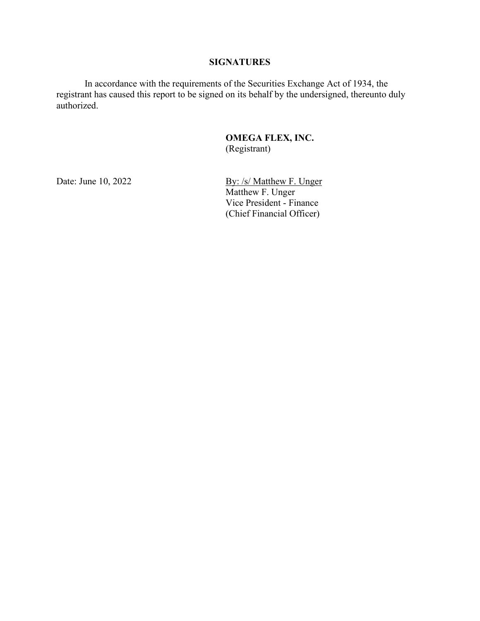## **SIGNATURES**

In accordance with the requirements of the Securities Exchange Act of 1934, the registrant has caused this report to be signed on its behalf by the undersigned, thereunto duly authorized.

## **OMEGA FLEX, INC.** (Registrant)

Date: June 10, 2022 By: /s/ Matthew F. Unger Matthew F. Unger Vice President - Finance (Chief Financial Officer)